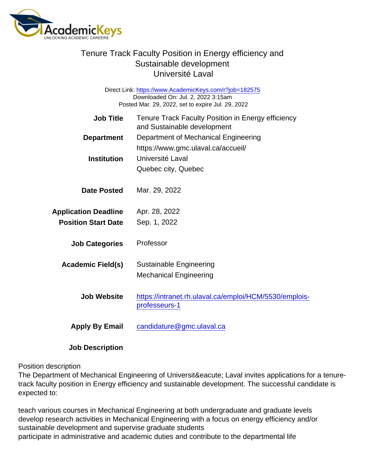Job Title Tenure Track Faculty Position in Energy efficiency and Sustainable development Department Department of Mechanical Engineering https://www.gmc.ulaval.ca/accueil/ Institution Université Laval Quebec city, Quebec Date Posted Mar. 29, 2022 Application Deadline Apr. 28, 2022 Position Start Date Sep. 1, 2022 Job Categories Professor Academic Field(s) Sustainable Engineering Mechanical Engineering Job Website [https://intranet.rh.ulaval.ca/emploi/HCM/5530/emplois](https://intranet.rh.ulaval.ca/emploi/HCM/5530/emplois-professeurs-1)[professeurs-1](https://intranet.rh.ulaval.ca/emploi/HCM/5530/emplois-professeurs-1) Apply By Email [candidature@gmc.ulaval.ca](mailto:candidature@gmc.ulaval.ca) Direct Link: <https://www.AcademicKeys.com/r?job=182575> Downloaded On: Jul. 2, 2022 3:15am Posted Mar. 29, 2022, set to expire Jul. 29, 2022

Job Description

#### Position description

The Department of Mechanical Engineering of Université Laval invites applications for a tenuretrack faculty position in Energy efficiency and sustainable development. The successful candidate is expected to:

teach various courses in Mechanical Engineering at both undergraduate and graduate levels develop research activities in Mechanical Engineering with a focus on energy efficiency and/or sustainable development and supervise graduate students participate in administrative and academic duties and contribute to the departmental life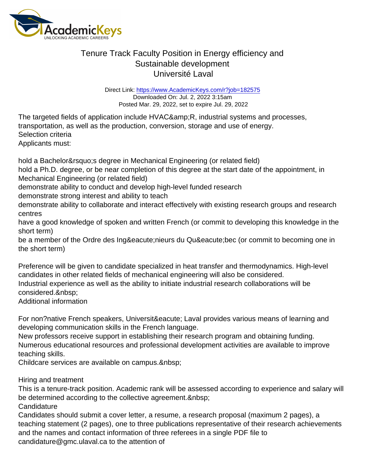Direct Link: <https://www.AcademicKeys.com/r?job=182575> Downloaded On: Jul. 2, 2022 3:15am Posted Mar. 29, 2022, set to expire Jul. 29, 2022

The targeted fields of application include HVAC& R, industrial systems and processes, transportation, as well as the production, conversion, storage and use of energy. Selection criteria Applicants must:

hold a Bachelor' sdegree in Mechanical Engineering (or related field)

hold a Ph.D. degree, or be near completion of this degree at the start date of the appointment, in Mechanical Engineering (or related field)

demonstrate ability to conduct and develop high-level funded research

demonstrate strong interest and ability to teach

demonstrate ability to collaborate and interact effectively with existing research groups and research centres

have a good knowledge of spoken and written French (or commit to developing this knowledge in the short term)

be a member of the Ordre des Ingénieurs du Québec (or commit to becoming one in the short term)

Preference will be given to candidate specialized in heat transfer and thermodynamics. High-level candidates in other related fields of mechanical engineering will also be considered. Industrial experience as well as the ability to initiate industrial research collaborations will be considered.

Additional information

For non?native French speakers, Université Laval provides various means of learning and developing communication skills in the French language.

New professors receive support in establishing their research program and obtaining funding. Numerous educational resources and professional development activities are available to improve teaching skills.

Childcare services are available on campus.

Hiring and treatment

This is a tenure-track position. Academic rank will be assessed according to experience and salary will be determined according to the collective agreement.

**Candidature** 

Candidates should submit a cover letter, a resume, a research proposal (maximum 2 pages), a teaching statement (2 pages), one to three publications representative of their research achievements and the names and contact information of three referees in a single PDF file to candidature@gmc.ulaval.ca to the attention of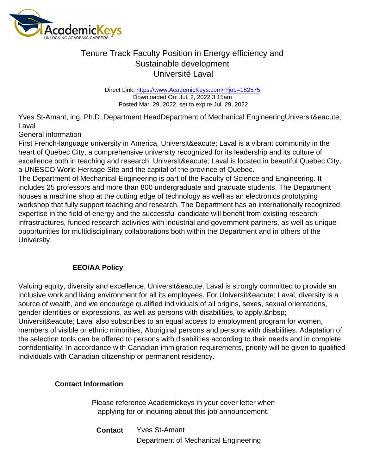Direct Link: <https://www.AcademicKeys.com/r?job=182575> Downloaded On: Jul. 2, 2022 3:15am Posted Mar. 29, 2022, set to expire Jul. 29, 2022

Yves St-Amant, ing. Ph.D.,Department HeadDepartment of Mechanical EngineeringUniversité Laval

General information

First French-language university in America, Universit & Bacute; Laval is a vibrant community in the heart of Quebec City, a comprehensive university recognized for its leadership and its culture of excellence both in teaching and research. Université Laval is located in beautiful Quebec City, a UNESCO World Heritage Site and the capital of the province of Quebec.

The Department of Mechanical Engineering is part of the Faculty of Science and Engineering. It includes 25 professors and more than 800 undergraduate and graduate students. The Department houses a machine shop at the cutting edge of technology as well as an electronics prototyping workshop that fully support teaching and research. The Department has an internationally recognized expertise in the field of energy and the successful candidate will benefit from existing research infrastructures, funded research activities with industrial and government partners, as well as unique opportunities for multidisciplinary collaborations both within the Department and in others of the University.

#### EEO/AA Policy

Valuing equity, diversity and excellence, Université Laval is strongly committed to provide an inclusive work and living environment for all its employees. For Université Laval, diversity is a source of wealth, and we encourage qualified individuals of all origins, sexes, sexual orientations, gender identities or expressions, as well as persons with disabilities, to apply. Universit & eacute; Laval also subscribes to an equal access to employment program for women, members of visible or ethnic minorities, Aboriginal persons and persons with disabilities. Adaptation of the selection tools can be offered to persons with disabilities according to their needs and in complete confidentiality. In accordance with Canadian immigration requirements, priority will be given to qualified individuals with Canadian citizenship or permanent residency.

Contact Information

Please reference Academickeys in your cover letter when applying for or inquiring about this job announcement.

Contact Yves St-Amant Department of Mechanical Engineering